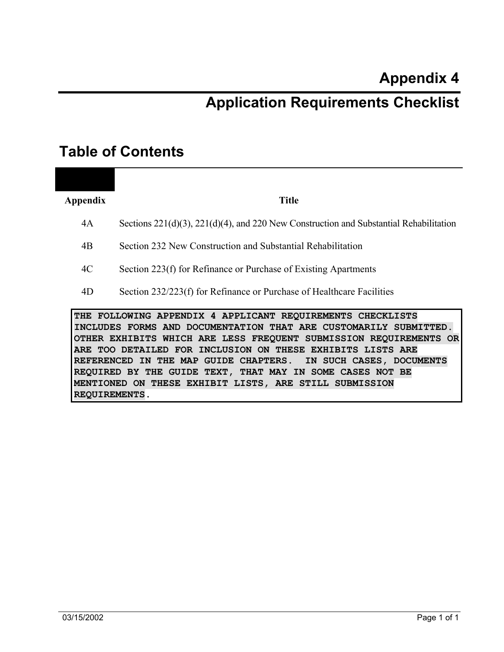# **Application Requirements Checklist**

## **Table of Contents**

**Appendix Title** 

- 4A Sections 221(d)(3), 221(d)(4), and 220 New Construction and Substantial Rehabilitation
- 4B Section 232 New Construction and Substantial Rehabilitation
- 4C Section 223(f) for Refinance or Purchase of Existing Apartments
- 4D Section 232/223(f) for Refinance or Purchase of Healthcare Facilities

**THE FOLLOWING APPENDIX 4 APPLICANT REQUIREMENTS CHECKLISTS INCLUDES FORMS AND DOCUMENTATION THAT ARE CUSTOMARILY SUBMITTED. OTHER EXHIBITS WHICH ARE LESS FREQUENT SUBMISSION REQUIREMENTS OR ARE TOO DETAILED FOR INCLUSION ON THESE EXHIBITS LISTS ARE REFERENCED IN THE MAP GUIDE CHAPTERS. IN SUCH CASES, DOCUMENTS REQUIRED BY THE GUIDE TEXT, THAT MAY IN SOME CASES NOT BE MENTIONED ON THESE EXHIBIT LISTS, ARE STILL SUBMISSION REQUIREMENTS.**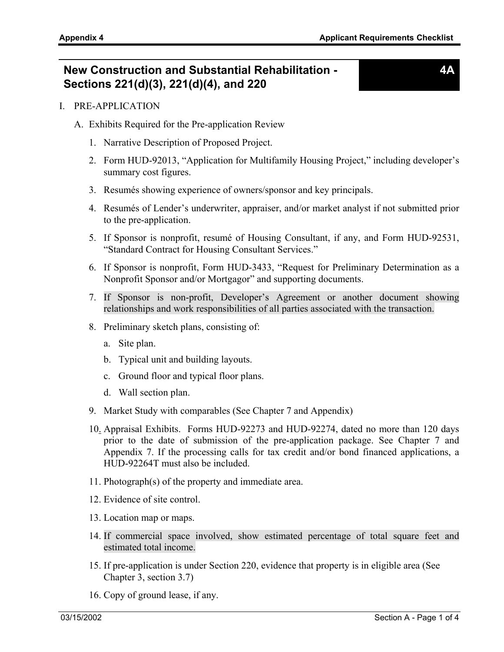### **New Construction and Substantial Rehabilitation - Sections 221(d)(3), 221(d)(4), and 220**

**4A** 

- I. PRE-APPLICATION
	- A. Exhibits Required for the Pre-application Review
		- 1. Narrative Description of Proposed Project.
		- 2. Form HUD-92013, "Application for Multifamily Housing Project," including developer's summary cost figures.
		- 3. Resumés showing experience of owners/sponsor and key principals.
		- 4. Resumés of Lender's underwriter, appraiser, and/or market analyst if not submitted prior to the pre-application.
		- 5. If Sponsor is nonprofit, resumé of Housing Consultant, if any, and Form HUD-92531, "Standard Contract for Housing Consultant Services."
		- 6. If Sponsor is nonprofit, Form HUD-3433, "Request for Preliminary Determination as a Nonprofit Sponsor and/or Mortgagor" and supporting documents.
		- 7. If Sponsor is non-profit, Developer's Agreement or another document showing relationships and work responsibilities of all parties associated with the transaction.
		- 8. Preliminary sketch plans, consisting of:
			- a. Site plan.
			- b. Typical unit and building layouts.
			- c. Ground floor and typical floor plans.
			- d. Wall section plan.
		- 9. Market Study with comparables (See Chapter 7 and Appendix)
		- 10. Appraisal Exhibits. Forms HUD-92273 and HUD-92274, dated no more than 120 days prior to the date of submission of the pre-application package. See Chapter 7 and Appendix 7. If the processing calls for tax credit and/or bond financed applications, a HUD-92264T must also be included.
		- 11. Photograph(s) of the property and immediate area.
		- 12. Evidence of site control.
		- 13. Location map or maps.
		- 14. If commercial space involved, show estimated percentage of total square feet and estimated total income.
		- 15. If pre-application is under Section 220, evidence that property is in eligible area (See Chapter 3, section 3.7)
		- 16. Copy of ground lease, if any.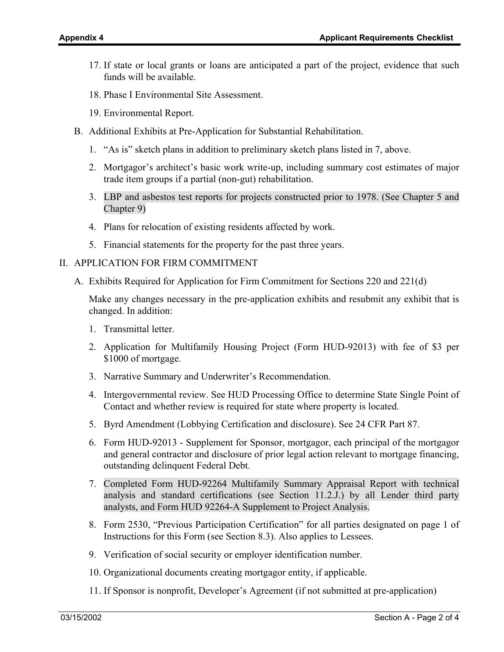- 17. If state or local grants or loans are anticipated a part of the project, evidence that such funds will be available.
- 18. Phase I Environmental Site Assessment.
- 19. Environmental Report.
- B. Additional Exhibits at Pre-Application for Substantial Rehabilitation.
	- 1. "As is" sketch plans in addition to preliminary sketch plans listed in 7, above.
	- 2. Mortgagor's architect's basic work write-up, including summary cost estimates of major trade item groups if a partial (non-gut) rehabilitation.
	- 3. LBP and asbestos test reports for projects constructed prior to 1978. (See Chapter 5 and Chapter 9)
	- 4. Plans for relocation of existing residents affected by work.
	- 5. Financial statements for the property for the past three years.

#### II. APPLICATION FOR FIRM COMMITMENT

A. Exhibits Required for Application for Firm Commitment for Sections 220 and 221(d)

Make any changes necessary in the pre-application exhibits and resubmit any exhibit that is changed. In addition:

- 1. Transmittal letter.
- 2. Application for Multifamily Housing Project (Form HUD-92013) with fee of \$3 per \$1000 of mortgage.
- 3. Narrative Summary and Underwriter's Recommendation.
- 4. Intergovernmental review. See HUD Processing Office to determine State Single Point of Contact and whether review is required for state where property is located.
- 5. Byrd Amendment (Lobbying Certification and disclosure). See 24 CFR Part 87.
- 6. Form HUD-92013 Supplement for Sponsor, mortgagor, each principal of the mortgagor and general contractor and disclosure of prior legal action relevant to mortgage financing, outstanding delinquent Federal Debt.
- 7. Completed Form HUD-92264 Multifamily Summary Appraisal Report with technical analysis and standard certifications (see Section 11.2.J.) by all Lender third party analysts, and Form HUD 92264-A Supplement to Project Analysis.
- 8. Form 2530, "Previous Participation Certification" for all parties designated on page 1 of Instructions for this Form (see Section 8.3). Also applies to Lessees.
- 9. Verification of social security or employer identification number.
- 10. Organizational documents creating mortgagor entity, if applicable.
- 11. If Sponsor is nonprofit, Developer's Agreement (if not submitted at pre-application)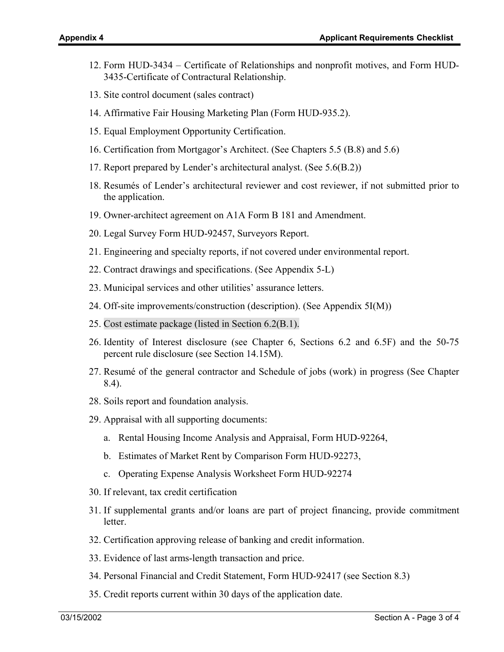- 12. Form HUD-3434 Certificate of Relationships and nonprofit motives, and Form HUD-3435-Certificate of Contractural Relationship.
- 13. Site control document (sales contract)
- 14. Affirmative Fair Housing Marketing Plan (Form HUD-935.2).
- 15. Equal Employment Opportunity Certification.
- 16. Certification from Mortgagor's Architect. (See Chapters 5.5 (B.8) and 5.6)
- 17. Report prepared by Lender's architectural analyst. (See 5.6(B.2))
- 18. Resumés of Lender's architectural reviewer and cost reviewer, if not submitted prior to the application.
- 19. Owner-architect agreement on A1A Form B 181 and Amendment.
- 20. Legal Survey Form HUD-92457, Surveyors Report.
- 21. Engineering and specialty reports, if not covered under environmental report.
- 22. Contract drawings and specifications. (See Appendix 5-L)
- 23. Municipal services and other utilities' assurance letters.
- 24. Off-site improvements/construction (description). (See Appendix 5I(M))
- 25. Cost estimate package (listed in Section 6.2(B.1).
- 26. Identity of Interest disclosure (see Chapter 6, Sections 6.2 and 6.5F) and the 50-75 percent rule disclosure (see Section 14.15M).
- 27. Resumé of the general contractor and Schedule of jobs (work) in progress (See Chapter 8.4).
- 28. Soils report and foundation analysis.
- 29. Appraisal with all supporting documents:
	- a. Rental Housing Income Analysis and Appraisal, Form HUD-92264,
	- b. Estimates of Market Rent by Comparison Form HUD-92273,
	- c. Operating Expense Analysis Worksheet Form HUD-92274
- 30. If relevant, tax credit certification
- 31. If supplemental grants and/or loans are part of project financing, provide commitment letter.
- 32. Certification approving release of banking and credit information.
- 33. Evidence of last arms-length transaction and price.
- 34. Personal Financial and Credit Statement, Form HUD-92417 (see Section 8.3)
- 35. Credit reports current within 30 days of the application date.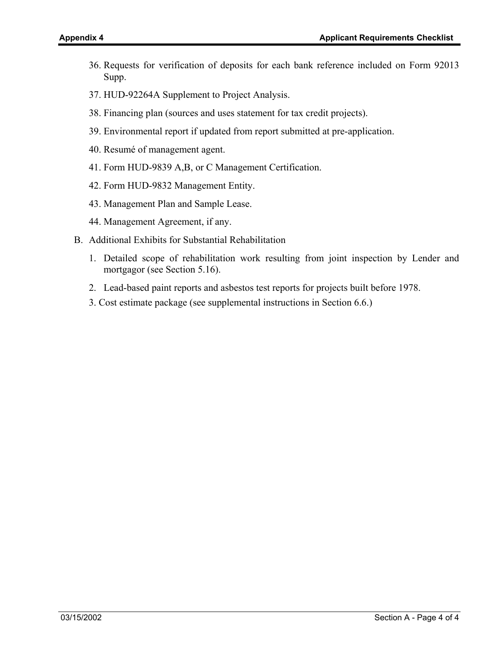- 36. Requests for verification of deposits for each bank reference included on Form 92013 Supp.
- 37. HUD-92264A Supplement to Project Analysis.
- 38. Financing plan (sources and uses statement for tax credit projects).
- 39. Environmental report if updated from report submitted at pre-application.
- 40. Resumé of management agent.
- 41. Form HUD-9839 A,B, or C Management Certification.
- 42. Form HUD-9832 Management Entity.
- 43. Management Plan and Sample Lease.
- 44. Management Agreement, if any.
- B. Additional Exhibits for Substantial Rehabilitation
	- 1. Detailed scope of rehabilitation work resulting from joint inspection by Lender and mortgagor (see Section 5.16).
	- 2. Lead-based paint reports and asbestos test reports for projects built before 1978.
	- 3. Cost estimate package (see supplemental instructions in Section 6.6.)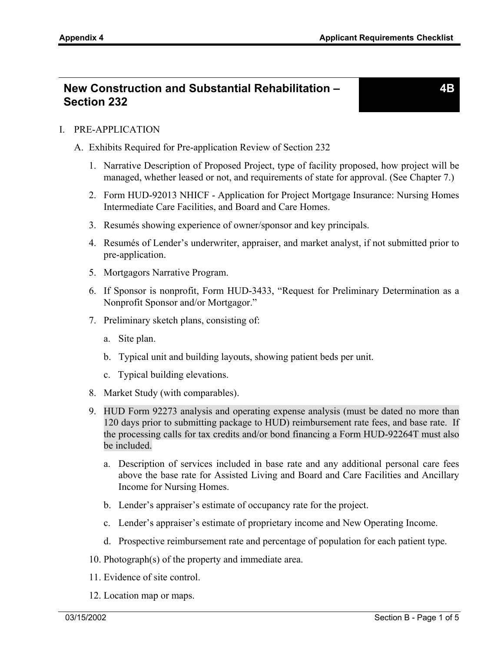**4B** 

### **New Construction and Substantial Rehabilitation – Section 232**

I. PRE-APPLICATION

- A. Exhibits Required for Pre-application Review of Section 232
	- 1. Narrative Description of Proposed Project, type of facility proposed, how project will be managed, whether leased or not, and requirements of state for approval. (See Chapter 7.)
	- 2. Form HUD-92013 NHICF Application for Project Mortgage Insurance: Nursing Homes Intermediate Care Facilities, and Board and Care Homes.
	- 3. Resumés showing experience of owner/sponsor and key principals.
	- 4. Resumés of Lender's underwriter, appraiser, and market analyst, if not submitted prior to pre-application.
	- 5. Mortgagors Narrative Program.
	- 6. If Sponsor is nonprofit, Form HUD-3433, "Request for Preliminary Determination as a Nonprofit Sponsor and/or Mortgagor."
	- 7. Preliminary sketch plans, consisting of:
		- a. Site plan.
		- b. Typical unit and building layouts, showing patient beds per unit.
		- c. Typical building elevations.
	- 8. Market Study (with comparables).
	- 9. HUD Form 92273 analysis and operating expense analysis (must be dated no more than 120 days prior to submitting package to HUD) reimbursement rate fees, and base rate. If the processing calls for tax credits and/or bond financing a Form HUD-92264T must also be included.
		- a. Description of services included in base rate and any additional personal care fees above the base rate for Assisted Living and Board and Care Facilities and Ancillary Income for Nursing Homes.
		- b. Lender's appraiser's estimate of occupancy rate for the project.
		- c. Lender's appraiser's estimate of proprietary income and New Operating Income.
		- d. Prospective reimbursement rate and percentage of population for each patient type.
	- 10. Photograph(s) of the property and immediate area.
	- 11. Evidence of site control.
	- 12. Location map or maps.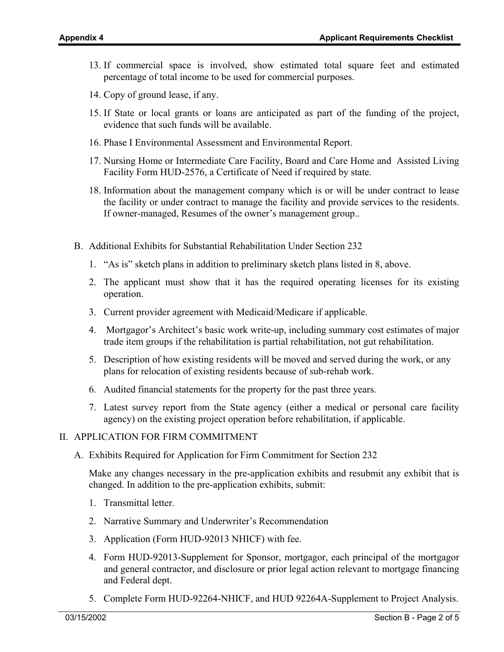- 13. If commercial space is involved, show estimated total square feet and estimated percentage of total income to be used for commercial purposes.
- 14. Copy of ground lease, if any.
- 15. If State or local grants or loans are anticipated as part of the funding of the project, evidence that such funds will be available.
- 16. Phase I Environmental Assessment and Environmental Report.
- 17. Nursing Home or Intermediate Care Facility, Board and Care Home and Assisted Living Facility Form HUD-2576, a Certificate of Need if required by state.
- 18. Information about the management company which is or will be under contract to lease the facility or under contract to manage the facility and provide services to the residents. If owner-managed, Resumes of the owner's management group..
- B. Additional Exhibits for Substantial Rehabilitation Under Section 232
	- 1. "As is" sketch plans in addition to preliminary sketch plans listed in 8, above.
	- 2. The applicant must show that it has the required operating licenses for its existing operation.
	- 3. Current provider agreement with Medicaid/Medicare if applicable.
	- 4. Mortgagor's Architect's basic work write-up, including summary cost estimates of major trade item groups if the rehabilitation is partial rehabilitation, not gut rehabilitation.
	- 5. Description of how existing residents will be moved and served during the work, or any plans for relocation of existing residents because of sub-rehab work.
	- 6. Audited financial statements for the property for the past three years.
	- 7. Latest survey report from the State agency (either a medical or personal care facility agency) on the existing project operation before rehabilitation, if applicable.

#### II. APPLICATION FOR FIRM COMMITMENT

A. Exhibits Required for Application for Firm Commitment for Section 232

Make any changes necessary in the pre-application exhibits and resubmit any exhibit that is changed. In addition to the pre-application exhibits, submit:

- 1. Transmittal letter.
- 2. Narrative Summary and Underwriter's Recommendation
- 3. Application (Form HUD-92013 NHICF) with fee.
- 4. Form HUD-92013-Supplement for Sponsor, mortgagor, each principal of the mortgagor and general contractor, and disclosure or prior legal action relevant to mortgage financing and Federal dept.
- 5. Complete Form HUD-92264-NHICF, and HUD 92264A-Supplement to Project Analysis.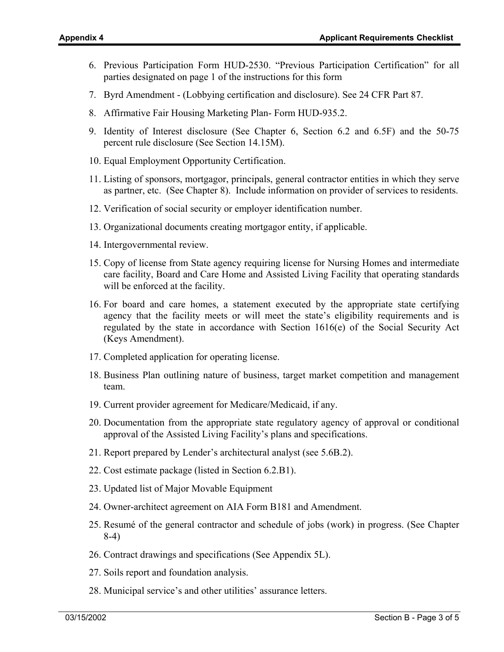- 6. Previous Participation Form HUD-2530. "Previous Participation Certification" for all parties designated on page 1 of the instructions for this form
- 7. Byrd Amendment (Lobbying certification and disclosure). See 24 CFR Part 87.
- 8. Affirmative Fair Housing Marketing Plan- Form HUD-935.2.
- 9. Identity of Interest disclosure (See Chapter 6, Section 6.2 and 6.5F) and the 50-75 percent rule disclosure (See Section 14.15M).
- 10. Equal Employment Opportunity Certification.
- 11. Listing of sponsors, mortgagor, principals, general contractor entities in which they serve as partner, etc. (See Chapter 8). Include information on provider of services to residents.
- 12. Verification of social security or employer identification number.
- 13. Organizational documents creating mortgagor entity, if applicable.
- 14. Intergovernmental review.
- 15. Copy of license from State agency requiring license for Nursing Homes and intermediate care facility, Board and Care Home and Assisted Living Facility that operating standards will be enforced at the facility.
- 16. For board and care homes, a statement executed by the appropriate state certifying agency that the facility meets or will meet the state's eligibility requirements and is regulated by the state in accordance with Section 1616(e) of the Social Security Act (Keys Amendment).
- 17. Completed application for operating license.
- 18. Business Plan outlining nature of business, target market competition and management team.
- 19. Current provider agreement for Medicare/Medicaid, if any.
- 20. Documentation from the appropriate state regulatory agency of approval or conditional approval of the Assisted Living Facility's plans and specifications.
- 21. Report prepared by Lender's architectural analyst (see 5.6B.2).
- 22. Cost estimate package (listed in Section 6.2.B1).
- 23. Updated list of Major Movable Equipment
- 24. Owner-architect agreement on AIA Form B181 and Amendment.
- 25. Resumé of the general contractor and schedule of jobs (work) in progress. (See Chapter 8-4)
- 26. Contract drawings and specifications (See Appendix 5L).
- 27. Soils report and foundation analysis.
- 28. Municipal service's and other utilities' assurance letters.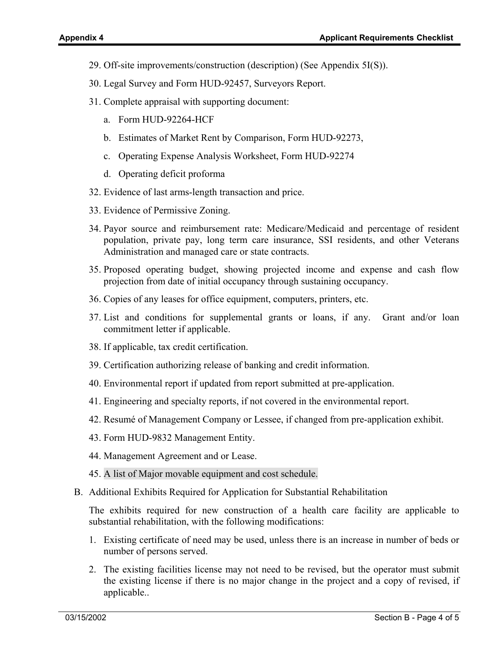- 29. Off-site improvements/construction (description) (See Appendix 5I(S)).
- 30. Legal Survey and Form HUD-92457, Surveyors Report.
- 31. Complete appraisal with supporting document:
	- a. Form HUD-92264-HCF
	- b. Estimates of Market Rent by Comparison, Form HUD-92273,
	- c. Operating Expense Analysis Worksheet, Form HUD-92274
	- d. Operating deficit proforma
- 32. Evidence of last arms-length transaction and price.
- 33. Evidence of Permissive Zoning.
- 34. Payor source and reimbursement rate: Medicare/Medicaid and percentage of resident population, private pay, long term care insurance, SSI residents, and other Veterans Administration and managed care or state contracts.
- 35. Proposed operating budget, showing projected income and expense and cash flow projection from date of initial occupancy through sustaining occupancy.
- 36. Copies of any leases for office equipment, computers, printers, etc.
- 37. List and conditions for supplemental grants or loans, if any. Grant and/or loan commitment letter if applicable.
- 38. If applicable, tax credit certification.
- 39. Certification authorizing release of banking and credit information.
- 40. Environmental report if updated from report submitted at pre-application.
- 41. Engineering and specialty reports, if not covered in the environmental report.
- 42. Resumé of Management Company or Lessee, if changed from pre-application exhibit.
- 43. Form HUD-9832 Management Entity.
- 44. Management Agreement and or Lease.
- 45. A list of Major movable equipment and cost schedule.
- B. Additional Exhibits Required for Application for Substantial Rehabilitation

The exhibits required for new construction of a health care facility are applicable to substantial rehabilitation, with the following modifications:

- 1. Existing certificate of need may be used, unless there is an increase in number of beds or number of persons served.
- 2. The existing facilities license may not need to be revised, but the operator must submit the existing license if there is no major change in the project and a copy of revised, if applicable..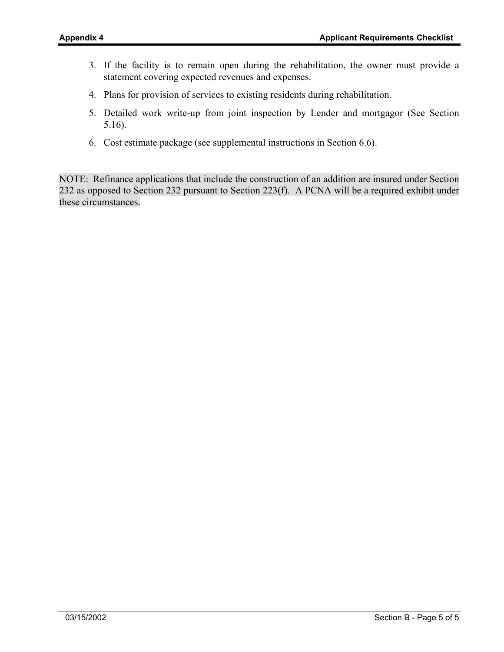- 3. If the facility is to remain open during the rehabilitation, the owner must provide a statement covering expected revenues and expenses.
- 4. Plans for provision of services to existing residents during rehabilitation.
- 5. Detailed work write-up from joint inspection by Lender and mortgagor (See Section 5.16).
- 6. Cost estimate package (see supplemental instructions in Section 6.6).

NOTE: Refinance applications that include the construction of an addition are insured under Section 232 as opposed to Section 232 pursuant to Section 223(f). A PCNA will be a required exhibit under these circumstances.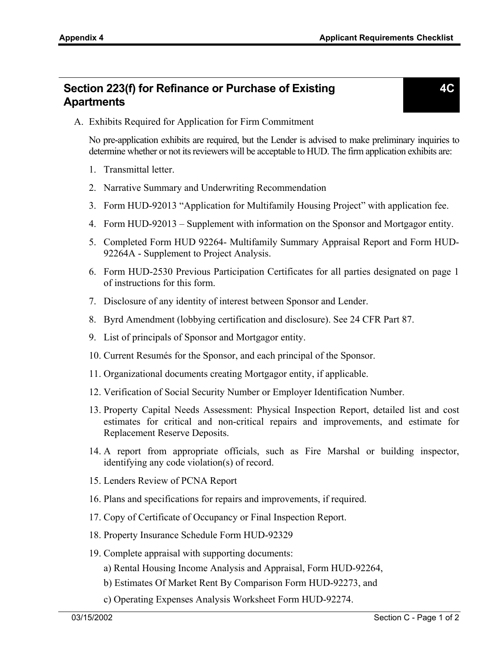**4C** 

### **Section 223(f) for Refinance or Purchase of Existing Apartments**

#### A. Exhibits Required for Application for Firm Commitment

No pre-application exhibits are required, but the Lender is advised to make preliminary inquiries to determine whether or not its reviewers will be acceptable to HUD. The firm application exhibits are:

- 1. Transmittal letter.
- 2. Narrative Summary and Underwriting Recommendation
- 3. Form HUD-92013 "Application for Multifamily Housing Project" with application fee.
- 4. Form HUD-92013 Supplement with information on the Sponsor and Mortgagor entity.
- 5. Completed Form HUD 92264- Multifamily Summary Appraisal Report and Form HUD-92264A - Supplement to Project Analysis.
- 6. Form HUD-2530 Previous Participation Certificates for all parties designated on page 1 of instructions for this form.
- 7. Disclosure of any identity of interest between Sponsor and Lender.
- 8. Byrd Amendment (lobbying certification and disclosure). See 24 CFR Part 87.
- 9. List of principals of Sponsor and Mortgagor entity.
- 10. Current Resumés for the Sponsor, and each principal of the Sponsor.
- 11. Organizational documents creating Mortgagor entity, if applicable.
- 12. Verification of Social Security Number or Employer Identification Number.
- 13. Property Capital Needs Assessment: Physical Inspection Report, detailed list and cost estimates for critical and non-critical repairs and improvements, and estimate for Replacement Reserve Deposits.
- 14. A report from appropriate officials, such as Fire Marshal or building inspector, identifying any code violation(s) of record.
- 15. Lenders Review of PCNA Report
- 16. Plans and specifications for repairs and improvements, if required.
- 17. Copy of Certificate of Occupancy or Final Inspection Report.
- 18. Property Insurance Schedule Form HUD-92329
- 19. Complete appraisal with supporting documents:
	- a) Rental Housing Income Analysis and Appraisal, Form HUD-92264,
	- b) Estimates Of Market Rent By Comparison Form HUD-92273, and
	- c) Operating Expenses Analysis Worksheet Form HUD-92274.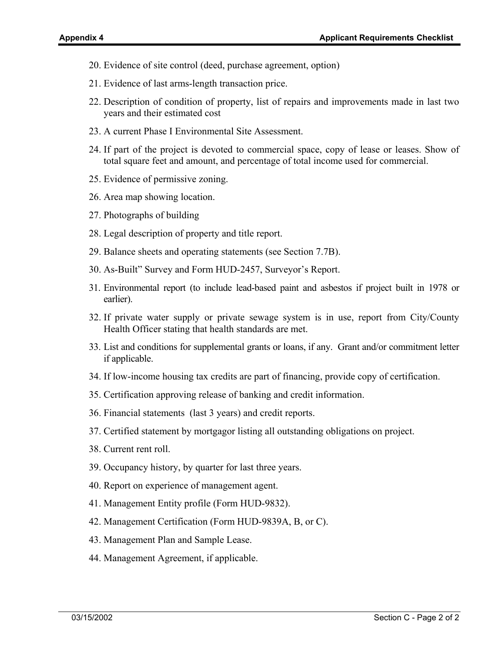- 20. Evidence of site control (deed, purchase agreement, option)
- 21. Evidence of last arms-length transaction price.
- 22. Description of condition of property, list of repairs and improvements made in last two years and their estimated cost
- 23. A current Phase I Environmental Site Assessment.
- 24. If part of the project is devoted to commercial space, copy of lease or leases. Show of total square feet and amount, and percentage of total income used for commercial.
- 25. Evidence of permissive zoning.
- 26. Area map showing location.
- 27. Photographs of building
- 28. Legal description of property and title report.
- 29. Balance sheets and operating statements (see Section 7.7B).
- 30. As-Built" Survey and Form HUD-2457, Surveyor's Report.
- 31. Environmental report (to include lead-based paint and asbestos if project built in 1978 or earlier).
- 32. If private water supply or private sewage system is in use, report from City/County Health Officer stating that health standards are met.
- 33. List and conditions for supplemental grants or loans, if any. Grant and/or commitment letter if applicable.
- 34. If low-income housing tax credits are part of financing, provide copy of certification.
- 35. Certification approving release of banking and credit information.
- 36. Financial statements (last 3 years) and credit reports.
- 37. Certified statement by mortgagor listing all outstanding obligations on project.
- 38. Current rent roll.
- 39. Occupancy history, by quarter for last three years.
- 40. Report on experience of management agent.
- 41. Management Entity profile (Form HUD-9832).
- 42. Management Certification (Form HUD-9839A, B, or C).
- 43. Management Plan and Sample Lease.
- 44. Management Agreement, if applicable.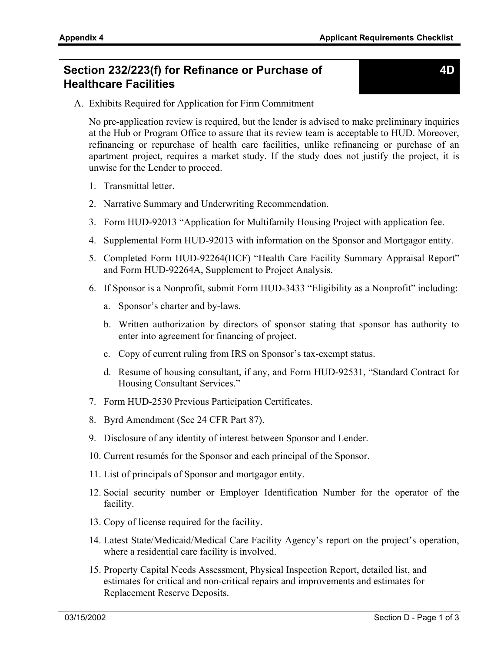#### **Section 232/223(f) for Refinance or Purchase of Healthcare Facilities**

A. Exhibits Required for Application for Firm Commitment

No pre-application review is required, but the lender is advised to make preliminary inquiries at the Hub or Program Office to assure that its review team is acceptable to HUD. Moreover, refinancing or repurchase of health care facilities, unlike refinancing or purchase of an apartment project, requires a market study. If the study does not justify the project, it is unwise for the Lender to proceed.

- 1. Transmittal letter.
- 2. Narrative Summary and Underwriting Recommendation.
- 3. Form HUD-92013 "Application for Multifamily Housing Project with application fee.
- 4. Supplemental Form HUD-92013 with information on the Sponsor and Mortgagor entity.
- 5. Completed Form HUD-92264(HCF) "Health Care Facility Summary Appraisal Report" and Form HUD-92264A, Supplement to Project Analysis.
- 6. If Sponsor is a Nonprofit, submit Form HUD-3433 "Eligibility as a Nonprofit" including:
	- a. Sponsor's charter and by-laws.
	- b. Written authorization by directors of sponsor stating that sponsor has authority to enter into agreement for financing of project.
	- c. Copy of current ruling from IRS on Sponsor's tax-exempt status.
	- d. Resume of housing consultant, if any, and Form HUD-92531, "Standard Contract for Housing Consultant Services."
- 7. Form HUD-2530 Previous Participation Certificates.
- 8. Byrd Amendment (See 24 CFR Part 87).
- 9. Disclosure of any identity of interest between Sponsor and Lender.
- 10. Current resumés for the Sponsor and each principal of the Sponsor.
- 11. List of principals of Sponsor and mortgagor entity.
- 12. Social security number or Employer Identification Number for the operator of the facility.
- 13. Copy of license required for the facility.
- 14. Latest State/Medicaid/Medical Care Facility Agency's report on the project's operation, where a residential care facility is involved.
- 15. Property Capital Needs Assessment, Physical Inspection Report, detailed list, and estimates for critical and non-critical repairs and improvements and estimates for Replacement Reserve Deposits.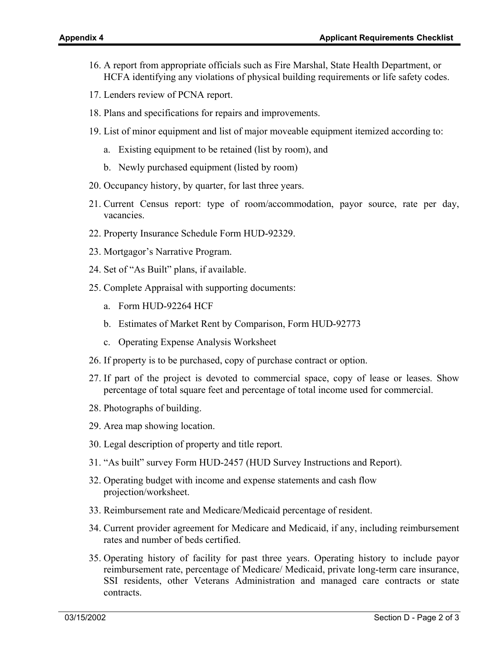- 16. A report from appropriate officials such as Fire Marshal, State Health Department, or HCFA identifying any violations of physical building requirements or life safety codes.
- 17. Lenders review of PCNA report.
- 18. Plans and specifications for repairs and improvements.
- 19. List of minor equipment and list of major moveable equipment itemized according to:
	- a. Existing equipment to be retained (list by room), and
	- b. Newly purchased equipment (listed by room)
- 20. Occupancy history, by quarter, for last three years.
- 21. Current Census report: type of room/accommodation, payor source, rate per day, vacancies.
- 22. Property Insurance Schedule Form HUD-92329.
- 23. Mortgagor's Narrative Program.
- 24. Set of "As Built" plans, if available.
- 25. Complete Appraisal with supporting documents:
	- a. Form HUD-92264 HCF
	- b. Estimates of Market Rent by Comparison, Form HUD-92773
	- c. Operating Expense Analysis Worksheet
- 26. If property is to be purchased, copy of purchase contract or option.
- 27. If part of the project is devoted to commercial space, copy of lease or leases. Show percentage of total square feet and percentage of total income used for commercial.
- 28. Photographs of building.
- 29. Area map showing location.
- 30. Legal description of property and title report.
- 31. "As built" survey Form HUD-2457 (HUD Survey Instructions and Report).
- 32. Operating budget with income and expense statements and cash flow projection/worksheet.
- 33. Reimbursement rate and Medicare/Medicaid percentage of resident.
- 34. Current provider agreement for Medicare and Medicaid, if any, including reimbursement rates and number of beds certified.
- 35. Operating history of facility for past three years. Operating history to include payor reimbursement rate, percentage of Medicare/ Medicaid, private long-term care insurance, SSI residents, other Veterans Administration and managed care contracts or state contracts.